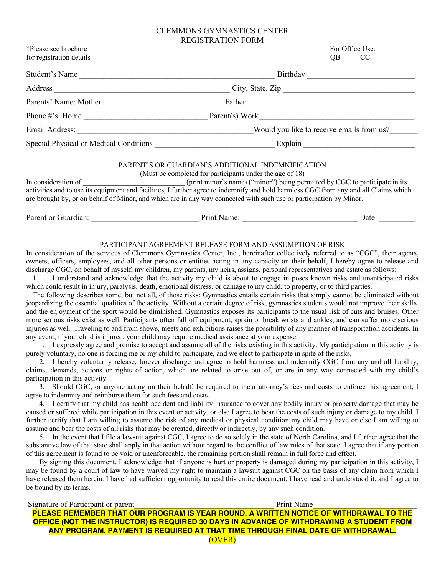## CLEMMONS GYMNASTICS CENTER

|                                                                | <b>REGISTRATION FORM</b>                                                                                                                                                                                                                                                                                                                                                                                                                                                                                                                                                                                                                                                                                                                                                                                                                                                                                                                                                                                                                                                                                                                                                                                                                                                                                                                                                                                                                                                                               |  |
|----------------------------------------------------------------|--------------------------------------------------------------------------------------------------------------------------------------------------------------------------------------------------------------------------------------------------------------------------------------------------------------------------------------------------------------------------------------------------------------------------------------------------------------------------------------------------------------------------------------------------------------------------------------------------------------------------------------------------------------------------------------------------------------------------------------------------------------------------------------------------------------------------------------------------------------------------------------------------------------------------------------------------------------------------------------------------------------------------------------------------------------------------------------------------------------------------------------------------------------------------------------------------------------------------------------------------------------------------------------------------------------------------------------------------------------------------------------------------------------------------------------------------------------------------------------------------------|--|
| *Please see brochure<br>for registration details               | For Office Use:<br>$QB$ $CC$                                                                                                                                                                                                                                                                                                                                                                                                                                                                                                                                                                                                                                                                                                                                                                                                                                                                                                                                                                                                                                                                                                                                                                                                                                                                                                                                                                                                                                                                           |  |
| Student's Name                                                 | Birthday                                                                                                                                                                                                                                                                                                                                                                                                                                                                                                                                                                                                                                                                                                                                                                                                                                                                                                                                                                                                                                                                                                                                                                                                                                                                                                                                                                                                                                                                                               |  |
|                                                                |                                                                                                                                                                                                                                                                                                                                                                                                                                                                                                                                                                                                                                                                                                                                                                                                                                                                                                                                                                                                                                                                                                                                                                                                                                                                                                                                                                                                                                                                                                        |  |
|                                                                |                                                                                                                                                                                                                                                                                                                                                                                                                                                                                                                                                                                                                                                                                                                                                                                                                                                                                                                                                                                                                                                                                                                                                                                                                                                                                                                                                                                                                                                                                                        |  |
|                                                                |                                                                                                                                                                                                                                                                                                                                                                                                                                                                                                                                                                                                                                                                                                                                                                                                                                                                                                                                                                                                                                                                                                                                                                                                                                                                                                                                                                                                                                                                                                        |  |
|                                                                |                                                                                                                                                                                                                                                                                                                                                                                                                                                                                                                                                                                                                                                                                                                                                                                                                                                                                                                                                                                                                                                                                                                                                                                                                                                                                                                                                                                                                                                                                                        |  |
|                                                                |                                                                                                                                                                                                                                                                                                                                                                                                                                                                                                                                                                                                                                                                                                                                                                                                                                                                                                                                                                                                                                                                                                                                                                                                                                                                                                                                                                                                                                                                                                        |  |
|                                                                | PARENT'S OR GUARDIAN'S ADDITIONAL INDEMNIFICATION<br>(Must be completed for participants under the age of 18)<br>are brought by, or on behalf of Minor, and which are in any way connected with such use or participation by Minor.                                                                                                                                                                                                                                                                                                                                                                                                                                                                                                                                                                                                                                                                                                                                                                                                                                                                                                                                                                                                                                                                                                                                                                                                                                                                    |  |
| 1.                                                             | owners, officers, employees, and all other persons or entities acting in any capacity on their behalf, I hereby agree to release and<br>discharge CGC, on behalf of myself, my children, my parents, my heirs, assigns, personal representatives and estate as follows:<br>I understand and acknowledge that the activity my child is about to engage in poses known risks and unanticipated risks<br>which could result in injury, paralysis, death, emotional distress, or damage to my child, to property, or to third parties.<br>The following describes some, but not all, of those risks: Gymnastics entails certain risks that simply cannot be eliminated without<br>jeopardizing the essential qualities of the activity. Without a certain degree of risk, gymnastics students would not improve their skills,<br>and the enjoyment of the sport would be diminished. Gymnastics exposes its participants to the usual risk of cuts and bruises. Other<br>more serious risks exist as well. Participants often fall off equipment, sprain or break wrists and ankles, and can suffer more serious<br>injuries as well. Traveling to and from shows, meets and exhibitions raises the possibility of any manner of transportation accidents. In<br>any event, if your child is injured, your child may require medical assistance at your expense.<br>1. I expressly agree and promise to accept and assume all of the risks existing in this activity. My participation in this activity is |  |
| participation in this activity.                                | purely voluntary, no one is forcing me or my child to participate, and we elect to participate in spite of the risks,<br>2. I hereby voluntarily release, forever discharge and agree to hold harmless and indemnify CGC from any and all liability,<br>claims, demands, actions or rights of action, which are related to arise out of, or are in any way connected with my child's                                                                                                                                                                                                                                                                                                                                                                                                                                                                                                                                                                                                                                                                                                                                                                                                                                                                                                                                                                                                                                                                                                                   |  |
| agree to indemnity and reimburse them for such fees and costs. | 3. Should CGC, or anyone acting on their behalf, be required to incur attorney's fees and costs to enforce this agreement, I<br>4. I certify that my child has health accident and liability insurance to cover any bodily injury or property damage that may be<br>caused or suffered while participation in this event or activity, or else I agree to bear the costs of such injury or damage to my child. I<br>further certify that I am willing to assume the risk of any medical or physical condition my child may have or else I am willing to<br>assume and bear the costs of all risks that may be created, directly or indirectly, by any such condition.<br>5. In the event that I file a lawsuit against CGC, I agree to do so solely in the state of North Carolina, and I further agree that the<br>substantive law of that state shall apply in that action without regard to the conflict of law rules of that state. I agree that if any portion<br>of this agreement is found to be void or unenforceable, the remaining portion shall remain in full force and effect.                                                                                                                                                                                                                                                                                                                                                                                                             |  |

By signing this document, I acknowledge that if anyone is hurt or property is damaged during my participation in this activity, I may be found by a court of law to have waived my right to maintain a lawsuit against CGC on the basis of any claim from which I have released them herein. I have had sufficient opportunity to read this entire document. I have read and understood it, and I agree to be bound by its terms.

| Signature of Participant or parent                                              | <b>Print Name</b>                                                                        |
|---------------------------------------------------------------------------------|------------------------------------------------------------------------------------------|
|                                                                                 | PLEASE REMEMBER THAT OUR PROGRAM IS YEAR ROUND. A WRITTEN NOTICE OF WITHDRAWAL TO THE    |
|                                                                                 | OFFICE (NOT THE INSTRUCTOR) IS REQUIRED 30 DAYS IN ADVANCE OF WITHDRAWING A STUDENT FROM |
| ANY PROGRAM, PAYMENT IS REQUIRED AT THAT TIME THROUGH FINAL DATE OF WITHDRAWAL. |                                                                                          |
|                                                                                 | <b>(OVER)</b>                                                                            |